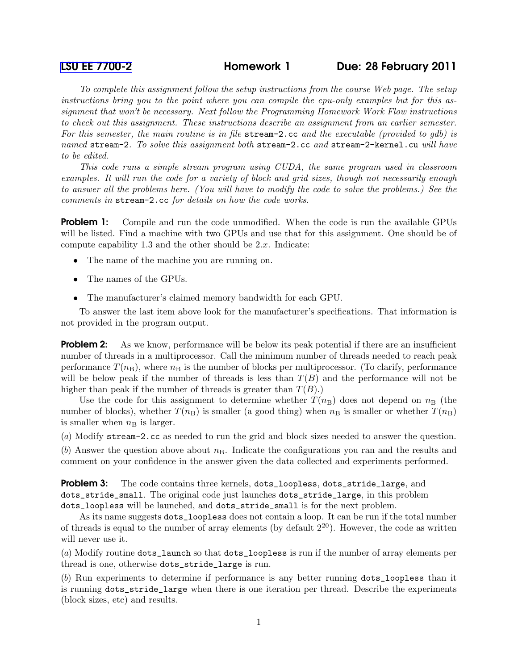[LSU EE 7700-2](http://www.ece.lsu.edu/gp/) Homework 1 Due: 28 February 2011

To complete this assignment follow the setup instructions from the course Web page. The setup instructions bring you to the point where you can compile the cpu-only examples but for this assignment that won't be necessary. Next follow the Programming Homework Work Flow instructions to check out this assignment. These instructions describe an assignment from an earlier semester. For this semester, the main routine is in file stream-2.cc and the executable (provided to gdb) is named stream-2. To solve this assignment both stream-2.cc and stream-2-kernel.cu will have to be edited.

This code runs a simple stream program using CUDA, the same program used in classroom examples. It will run the code for a variety of block and grid sizes, though not necessarily enough to answer all the problems here. (You will have to modify the code to solve the problems.) See the comments in stream-2.cc for details on how the code works.

**Problem 1:** Compile and run the code unmodified. When the code is run the available GPUs will be listed. Find a machine with two GPUs and use that for this assignment. One should be of compute capability 1.3 and the other should be 2.x. Indicate:

- The name of the machine you are running on.
- The names of the GPUs.
- The manufacturer's claimed memory bandwidth for each GPU.

To answer the last item above look for the manufacturer's specifications. That information is not provided in the program output.

**Problem 2:** As we know, performance will be below its peak potential if there are an insufficient number of threads in a multiprocessor. Call the minimum number of threads needed to reach peak performance  $T(n_B)$ , where  $n_B$  is the number of blocks per multiprocessor. (To clarify, performance will be below peak if the number of threads is less than  $T(B)$  and the performance will not be higher than peak if the number of threads is greater than  $T(B)$ .)

Use the code for this assignment to determine whether  $T(n_B)$  does not depend on  $n_B$  (the number of blocks), whether  $T(n_B)$  is smaller (a good thing) when  $n_B$  is smaller or whether  $T(n_B)$ is smaller when  $n<sub>B</sub>$  is larger.

(a) Modify stream-2.cc as needed to run the grid and block sizes needed to answer the question.

 $(b)$  Answer the question above about  $n<sub>B</sub>$ . Indicate the configurations you ran and the results and comment on your confidence in the answer given the data collected and experiments performed.

**Problem 3:** The code contains three kernels, dots\_loopless, dots\_stride\_large, and dots\_stride\_small. The original code just launches dots\_stride\_large, in this problem dots\_loopless will be launched, and dots\_stride\_small is for the next problem.

As its name suggests dots\_loopless does not contain a loop. It can be run if the total number of threads is equal to the number of array elements (by default  $2^{20}$ ). However, the code as written will never use it.

(a) Modify routine dots\_launch so that dots\_loopless is run if the number of array elements per thread is one, otherwise dots\_stride\_large is run.

(b) Run experiments to determine if performance is any better running dots\_loopless than it is running dots\_stride\_large when there is one iteration per thread. Describe the experiments (block sizes, etc) and results.